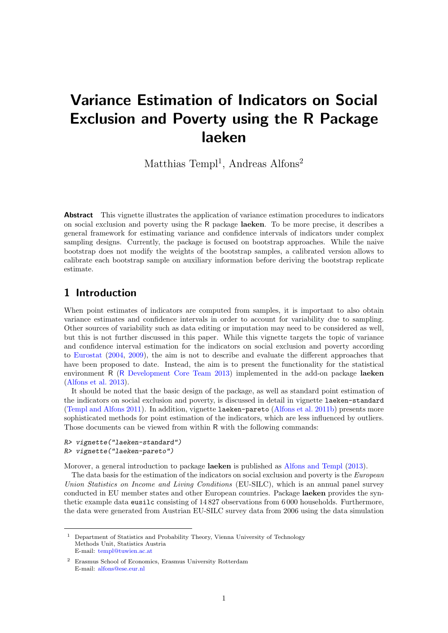# Variance Estimation of Indicators on Social Exclusion and Poverty using the R Package laeken

Matthias Templ<sup>1</sup>, Andreas Alfons<sup>2</sup>

**Abstract** This vignette illustrates the application of variance estimation procedures to indicators on social exclusion and poverty using the R package laeken. To be more precise, it describes a general framework for estimating variance and confidence intervals of indicators under complex sampling designs. Currently, the package is focused on bootstrap approaches. While the naive bootstrap does not modify the weights of the bootstrap samples, a calibrated version allows to calibrate each bootstrap sample on auxiliary information before deriving the bootstrap replicate estimate.

## 1 Introduction

When point estimates of indicators are computed from samples, it is important to also obtain variance estimates and confidence intervals in order to account for variability due to sampling. Other sources of variability such as data editing or imputation may need to be considered as well, but this is not further discussed in this paper. While this vignette targets the topic of variance and confidence interval estimation for the indicators on social exclusion and poverty according to [Eurostat](#page-6-0) [\(2004,](#page-6-0) [2009\)](#page-6-1), the aim is not to describe and evaluate the different approaches that have been proposed to date. Instead, the aim is to present the functionality for the statistical environment R (R [Development Core Team](#page-6-2) [2013\)](#page-6-2) implemented in the add-on package laeken [\(Alfons et al.](#page-5-0) [2013\)](#page-5-0).

It should be noted that the basic design of the package, as well as standard point estimation of the indicators on social exclusion and poverty, is discussed in detail in vignette laeken-standard [\(Templ and Alfons](#page-6-3) [2011\)](#page-6-3). In addition, vignette laeken-pareto [\(Alfons et al.](#page-5-1) [2011b\)](#page-5-1) presents more sophisticated methods for point estimation of the indicators, which are less influenced by outliers. Those documents can be viewed from within R with the following commands:

```
R> vignette("laeken-standard")
R> vignette("laeken-pareto")
```
Morover, a general introduction to package **laeken** is published as [Alfons and Templ](#page-5-2) [\(2013\)](#page-5-2).

The data basis for the estimation of the indicators on social exclusion and poverty is the *European* Union Statistics on Income and Living Conditions (EU-SILC), which is an annual panel survey conducted in EU member states and other European countries. Package laeken provides the synthetic example data eusilc consisting of 14 827 observations from 6 000 households. Furthermore, the data were generated from Austrian EU-SILC survey data from 2006 using the data simulation

<sup>&</sup>lt;sup>1</sup> Department of Statistics and Probability Theory, Vienna University of Technology Methods Unit, Statistics Austria E-mail: [templ@tuwien.ac.at](mailto:templ@tuwien.ac.at)

<sup>2</sup> Erasmus School of Economics, Erasmus University Rotterdam E-mail: [alfons@ese.eur.nl](mailto:alfons@ese.eur.nl)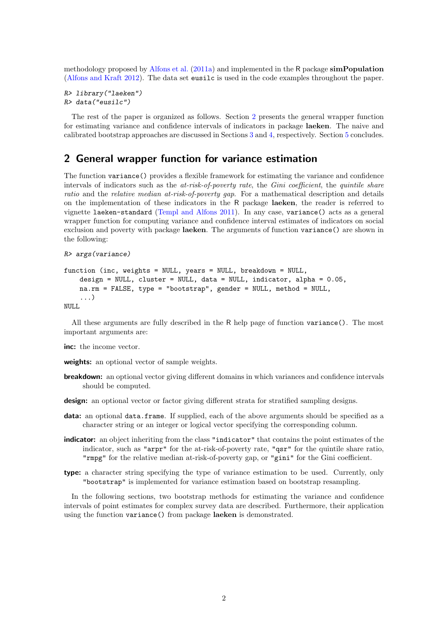methodology proposed by [Alfons et al.](#page-5-3) [\(2011a\)](#page-5-3) and implemented in the R package simPopulation [\(Alfons and Kraft](#page-5-4) [2012\)](#page-5-4). The data set eusilc is used in the code examples throughout the paper.

```
R> library("laeken")
R> data("eusilc")
```
The rest of the paper is organized as follows. Section [2](#page-1-0) presents the general wrapper function for estimating variance and confidence intervals of indicators in package laeken. The naive and calibrated bootstrap approaches are discussed in Sections [3](#page-2-0) and [4,](#page-4-0) respectively. Section [5](#page-5-5) concludes.

### <span id="page-1-0"></span>2 General wrapper function for variance estimation

The function variance() provides a flexible framework for estimating the variance and confidence intervals of indicators such as the at-risk-of-poverty rate, the Gini coefficient, the quintile share ratio and the relative median at-risk-of-poverty gap. For a mathematical description and details on the implementation of these indicators in the R package laeken, the reader is referred to vignette laeken-standard [\(Templ and Alfons](#page-6-3) [2011\)](#page-6-3). In any case, variance() acts as a general wrapper function for computing variance and confidence interval estimates of indicators on social exclusion and poverty with package laeken. The arguments of function variance() are shown in the following:

```
R> args(variance)
```

```
function (inc, weights = NULL, years = NULL, breakdown = NULL,
   design = NULL, cluster = NULL, data = NULL, indicator, alpha = 0.05,
   na.rm = FALSE, type = "bootstrap", gender = NULL, method = NULL,
    ...)
```
NULL

All these arguments are fully described in the R help page of function variance(). The most important arguments are:

inc: the income vector.

weights: an optional vector of sample weights.

- breakdown: an optional vector giving different domains in which variances and confidence intervals should be computed.
- design: an optional vector or factor giving different strata for stratified sampling designs.
- data: an optional data.frame. If supplied, each of the above arguments should be specified as a character string or an integer or logical vector specifying the corresponding column.
- indicator: an object inheriting from the class "indicator" that contains the point estimates of the indicator, such as "arpr" for the at-risk-of-poverty rate, "qsr" for the quintile share ratio, "rmpg" for the relative median at-risk-of-poverty gap, or "gini" for the Gini coefficient.
- type: a character string specifying the type of variance estimation to be used. Currently, only "bootstrap" is implemented for variance estimation based on bootstrap resampling.

In the following sections, two bootstrap methods for estimating the variance and confidence intervals of point estimates for complex survey data are described. Furthermore, their application using the function variance() from package laeken is demonstrated.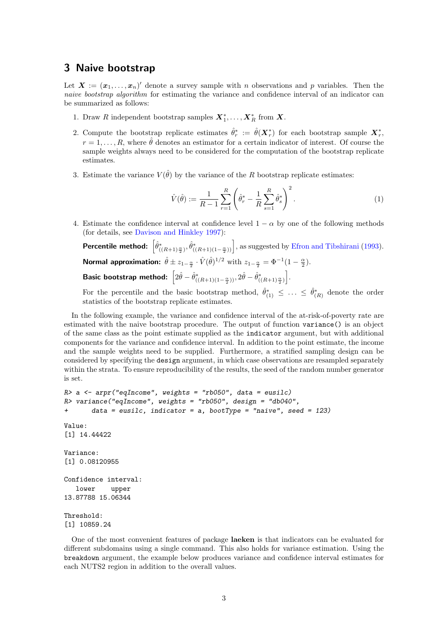#### <span id="page-2-0"></span>3 Naive bootstrap

Let  $\mathbf{X} := (\mathbf{x}_1, \ldots, \mathbf{x}_n)'$  denote a survey sample with n observations and p variables. Then the naive bootstrap algorithm for estimating the variance and confidence interval of an indicator can be summarized as follows:

- 1. Draw R independent bootstrap samples  $X_1^*, \ldots, X_R^*$  from X.
- 2. Compute the bootstrap replicate estimates  $\hat{\theta}_r^* := \hat{\theta}(X_r^*)$  for each bootstrap sample  $X_r^*$ ,  $r = 1, \ldots, R$ , where  $\hat{\theta}$  denotes an estimator for a certain indicator of interest. Of course the sample weights always need to be considered for the computation of the bootstrap replicate estimates.
- 3. Estimate the variance  $V(\hat{\theta})$  by the variance of the R bootstrap replicate estimates:

$$
\hat{V}(\hat{\theta}) := \frac{1}{R-1} \sum_{r=1}^{R} \left( \hat{\theta}_r^* - \frac{1}{R} \sum_{s=1}^{R} \hat{\theta}_s^* \right)^2.
$$
\n(1)

4. Estimate the confidence interval at confidence level  $1 - \alpha$  by one of the following methods (for details, see [Davison and Hinkley](#page-6-4) [1997\)](#page-6-4):

**Percentile method:**  $\left[\hat{\theta}^*_{((R+1)\frac{\alpha}{2})}, \hat{\theta}^*_{((R+1)(1-\frac{\alpha}{2}))}\right]$ , as suggested by [Efron and Tibshirani](#page-6-5) [\(1993\)](#page-6-5). Normal approximation:  $\hat{\theta} \pm z_{1-\frac{\alpha}{2}} \cdot \hat{V}(\hat{\theta})^{1/2}$  with  $z_{1-\frac{\alpha}{2}} = \Phi^{-1}(1-\frac{\alpha}{2})$ . Basic bootstrap method:  $\left[2\hat{\theta}-\hat{\theta}_{((R+1)(1-\frac{\alpha}{2}))}^{*},2\hat{\theta}-\hat{\theta}_{((R+1)\frac{\alpha}{2})}^{*}\right]$ .

For the percentile and the basic bootstrap method,  $\hat{\theta}_{(1)}^* \leq \ldots \leq \hat{\theta}_{(R)}^*$  denote the order statistics of the bootstrap replicate estimates.

In the following example, the variance and confidence interval of the at-risk-of-poverty rate are estimated with the naive bootstrap procedure. The output of function variance() is an object of the same class as the point estimate supplied as the indicator argument, but with additional components for the variance and confidence interval. In addition to the point estimate, the income and the sample weights need to be supplied. Furthermore, a stratified sampling design can be considered by specifying the design argument, in which case observations are resampled separately within the strata. To ensure reproducibility of the results, the seed of the random number generator is set.

```
R a <- arpr("eqIncome", weights = "rb050", data = eusilc)
R variance("eqIncome", weights = "rb050", design = "db040",
+ data = eusilc, indicator = a, bootType = "naive", seed = 123)
Value:
[1] 14.44422
Variance:
[1] 0.08120955
Confidence interval:
   lower upper
13.87788 15.06344
Threshold:
[1] 10859.24
```
One of the most convenient features of package laeken is that indicators can be evaluated for different subdomains using a single command. This also holds for variance estimation. Using the breakdown argument, the example below produces variance and confidence interval estimates for each NUTS2 region in addition to the overall values.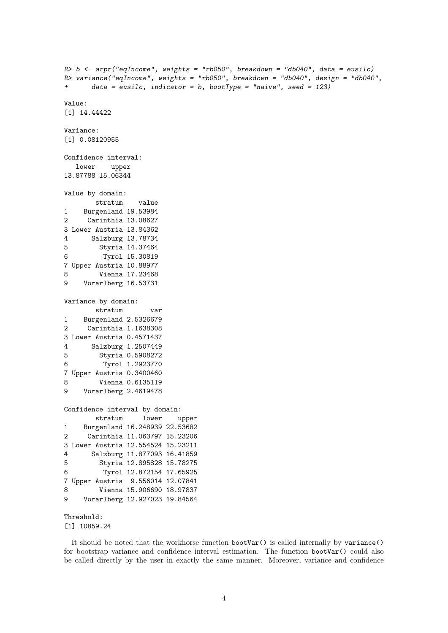```
R> b <- arpr("eqIncome", weights = "rb050", breakdown = "db040", data = eusilc)
R> variance("eqIncome", weights = "rb050", breakdown = "db040", design = "db040",
+ data = eusilc, indicator = b, bootType = "naive", seed = 123)
Value:
[1] 14.44422
Variance:
[1] 0.08120955
Confidence interval:
  lower upper
13.87788 15.06344
Value by domain:
       stratum value
1 Burgenland 19.53984
2 Carinthia 13.08627
3 Lower Austria 13.84362
4 Salzburg 13.78734
5 Styria 14.37464
6 Tyrol 15.30819
7 Upper Austria 10.88977
8 Vienna 17.23468
9 Vorarlberg 16.53731
Variance by domain:
       stratum var
1 Burgenland 2.5326679
2 Carinthia 1.1638308
3 Lower Austria 0.4571437
4 Salzburg 1.2507449
5 Styria 0.5908272
6 Tyrol 1.2923770
7 Upper Austria 0.3400460
8 Vienna 0.6135119
9 Vorarlberg 2.4619478
Confidence interval by domain:
       stratum lower upper
1 Burgenland 16.248939 22.53682
2 Carinthia 11.063797 15.23206
3 Lower Austria 12.554524 15.23211
4 Salzburg 11.877093 16.41859
5 Styria 12.895828 15.78275
6 Tyrol 12.872154 17.65925
7 Upper Austria 9.556014 12.07841
8 Vienna 15.906690 18.97837
9 Vorarlberg 12.927023 19.84564
Threshold:
```
[1] 10859.24

It should be noted that the workhorse function bootVar() is called internally by variance() for bootstrap variance and confidence interval estimation. The function bootVar() could also be called directly by the user in exactly the same manner. Moreover, variance and confidence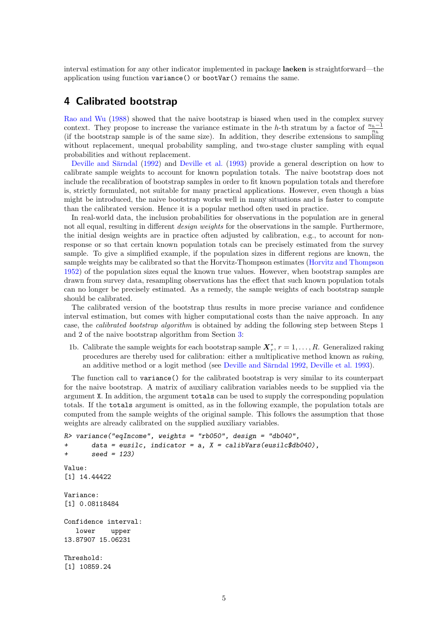interval estimation for any other indicator implemented in package laeken is straightforward—the application using function variance() or bootVar() remains the same.

#### <span id="page-4-0"></span>4 Calibrated bootstrap

[Rao and Wu](#page-6-6) [\(1988\)](#page-6-6) showed that the naive bootstrap is biased when used in the complex survey context. They propose to increase the variance estimate in the h-th stratum by a factor of  $\frac{n_h-1}{n_h}$ (if the bootstrap sample is of the same size). In addition, they describe extensions to sampling without replacement, unequal probability sampling, and two-stage cluster sampling with equal probabilities and without replacement.

Deville and Särndal [\(1992\)](#page-6-7) and [Deville et al.](#page-6-8) [\(1993\)](#page-6-8) provide a general description on how to calibrate sample weights to account for known population totals. The naive bootstrap does not include the recalibration of bootstrap samples in order to fit known population totals and therefore is, strictly formulated, not suitable for many practical applications. However, even though a bias might be introduced, the naive bootstrap works well in many situations and is faster to compute than the calibrated version. Hence it is a popular method often used in practice.

In real-world data, the inclusion probabilities for observations in the population are in general not all equal, resulting in different *design weights* for the observations in the sample. Furthermore, the initial design weights are in practice often adjusted by calibration, e.g., to account for nonresponse or so that certain known population totals can be precisely estimated from the survey sample. To give a simplified example, if the population sizes in different regions are known, the sample weights may be calibrated so that the Horvitz-Thompson estimates [\(Horvitz and Thompson](#page-6-9) [1952\)](#page-6-9) of the population sizes equal the known true values. However, when bootstrap samples are drawn from survey data, resampling observations has the effect that such known population totals can no longer be precisely estimated. As a remedy, the sample weights of each bootstrap sample should be calibrated.

The calibrated version of the bootstrap thus results in more precise variance and confidence interval estimation, but comes with higher computational costs than the naive approach. In any case, the calibrated bootstrap algorithm is obtained by adding the following step between Steps 1 and 2 of the naive bootstrap algorithm from Section [3:](#page-2-0)

1b. Calibrate the sample weights for each bootstrap sample  $\mathbf{X}_r^*, r = 1, \ldots, R$ . Generalized raking procedures are thereby used for calibration: either a multiplicative method known as raking, an additive method or a logit method (see Deville and Särndal [1992,](#page-6-7) [Deville et al.](#page-6-8) [1993\)](#page-6-8).

The function call to variance() for the calibrated bootstrap is very similar to its counterpart for the naive bootstrap. A matrix of auxiliary calibration variables needs to be supplied via the argument X. In addition, the argument totals can be used to supply the corresponding population totals. If the totals argument is omitted, as in the following example, the population totals are computed from the sample weights of the original sample. This follows the assumption that those weights are already calibrated on the supplied auxiliary variables.

```
R> variance("eqIncome", weights = "rb050", design = "db040",
+ data = eusilc, indicator = a, X = calibVars(eusilc$db040),
+ seed = 123)
Value:
[1] 14.44422
Variance:
[1] 0.08118484
Confidence interval:
  lower upper
13.87907 15.06231
Threshold:
[1] 10859.24
```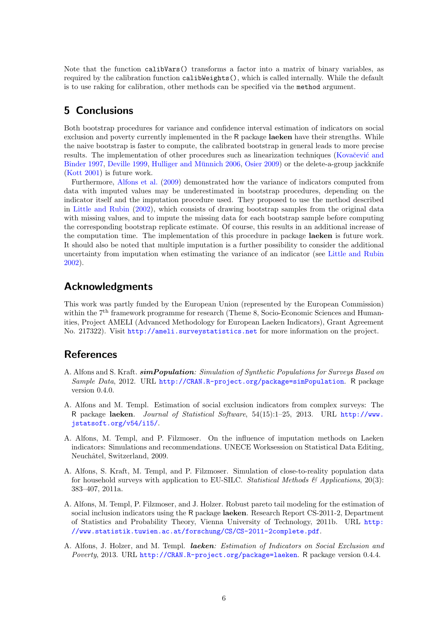Note that the function calibVars() transforms a factor into a matrix of binary variables, as required by the calibration function calibWeights(), which is called internally. While the default is to use raking for calibration, other methods can be specified via the method argument.

## <span id="page-5-5"></span>5 Conclusions

Both bootstrap procedures for variance and confidence interval estimation of indicators on social exclusion and poverty currently implemented in the R package laeken have their strengths. While the naive bootstrap is faster to compute, the calibrated bootstrap in general leads to more precise results. The implementation of other procedures such as linearization techniques (Kovačević and [Binder](#page-6-10) [1997,](#page-6-10) [Deville](#page-6-11) [1999,](#page-6-11) Hulliger and Münnich [2006,](#page-6-12) [Osier](#page-6-13) [2009\)](#page-6-13) or the delete-a-group jackknife [\(Kott](#page-6-14) [2001\)](#page-6-14) is future work.

Furthermore, [Alfons et al.](#page-5-6) [\(2009\)](#page-5-6) demonstrated how the variance of indicators computed from data with imputed values may be underestimated in bootstrap procedures, depending on the indicator itself and the imputation procedure used. They proposed to use the method described in [Little and Rubin](#page-6-15) [\(2002\)](#page-6-15), which consists of drawing bootstrap samples from the original data with missing values, and to impute the missing data for each bootstrap sample before computing the corresponding bootstrap replicate estimate. Of course, this results in an additional increase of the computation time. The implementation of this procedure in package laeken is future work. It should also be noted that multiple imputation is a further possibility to consider the additional uncertainty from imputation when estimating the variance of an indicator (see [Little and Rubin](#page-6-15) [2002\)](#page-6-15).

## Acknowledgments

This work was partly funded by the European Union (represented by the European Commission) within the 7<sup>th</sup> framework programme for research (Theme 8, Socio-Economic Sciences and Humanities, Project AMELI (Advanced Methodology for European Laeken Indicators), Grant Agreement No. 217322). Visit <http://ameli.surveystatistics.net> for more information on the project.

## References

- <span id="page-5-4"></span>A. Alfons and S. Kraft. simPopulation: Simulation of Synthetic Populations for Surveys Based on Sample Data, 2012. URL <http://CRAN.R-project.org/package=simPopulation>. R package version 0.4.0.
- <span id="page-5-2"></span>A. Alfons and M. Templ. Estimation of social exclusion indicators from complex surveys: The R package laeken. Journal of Statistical Software, 54(15):1–25, 2013. URL [http://www.](http://www.jstatsoft.org/v54/i15/) [jstatsoft.org/v54/i15/](http://www.jstatsoft.org/v54/i15/).
- <span id="page-5-6"></span>A. Alfons, M. Templ, and P. Filzmoser. On the influence of imputation methods on Laeken indicators: Simulations and recommendations. UNECE Worksession on Statistical Data Editing, Neuchâtel, Switzerland, 2009.
- <span id="page-5-3"></span>A. Alfons, S. Kraft, M. Templ, and P. Filzmoser. Simulation of close-to-reality population data for household surveys with application to EU-SILC. Statistical Methods  $\mathcal{B}$  Applications, 20(3): 383–407, 2011a.
- <span id="page-5-1"></span>A. Alfons, M. Templ, P. Filzmoser, and J. Holzer. Robust pareto tail modeling for the estimation of social inclusion indicators using the R package laeken. Research Report CS-2011-2, Department of Statistics and Probability Theory, Vienna University of Technology, 2011b. URL [http:](http://www.statistik.tuwien.ac.at/forschung/CS/CS-2011-2complete.pdf) [//www.statistik.tuwien.ac.at/forschung/CS/CS-2011-2complete.pdf](http://www.statistik.tuwien.ac.at/forschung/CS/CS-2011-2complete.pdf).
- <span id="page-5-0"></span>A. Alfons, J. Holzer, and M. Templ. laeken: Estimation of Indicators on Social Exclusion and Poverty, 2013. URL <http://CRAN.R-project.org/package=laeken>. R package version 0.4.4.